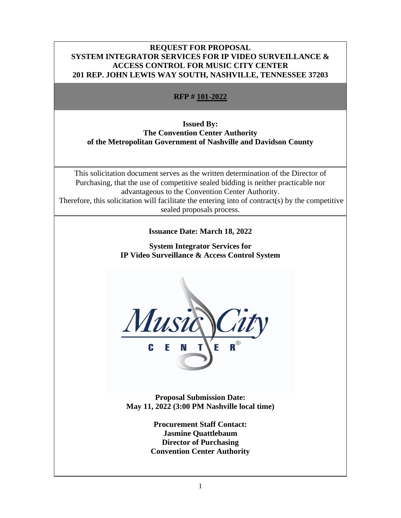### **REQUEST FOR PROPOSAL SYSTEM INTEGRATOR SERVICES FOR IP VIDEO SURVEILLANCE & ACCESS CONTROL FOR MUSIC CITY CENTER 201 REP. JOHN LEWIS WAY SOUTH, NASHVILLE, TENNESSEE 37203**

# **RFP # 101-2022**

# **Issued By: The Convention Center Authority of the Metropolitan Government of Nashville and Davidson County**

This solicitation document serves as the written determination of the Director of Purchasing, that the use of competitive sealed bidding is neither practicable nor advantageous to the Convention Center Authority. Therefore, this solicitation will facilitate the entering into of contract(s) by the competitive sealed proposals process.

# **Issuance Date: March 18, 2022**

**System Integrator Services for IP Video Surveillance & Access Control System**



**Proposal Submission Date: May 11, 2022 (3:00 PM Nashville local time)**

> **Procurement Staff Contact: Jasmine Quattlebaum Director of Purchasing Convention Center Authority**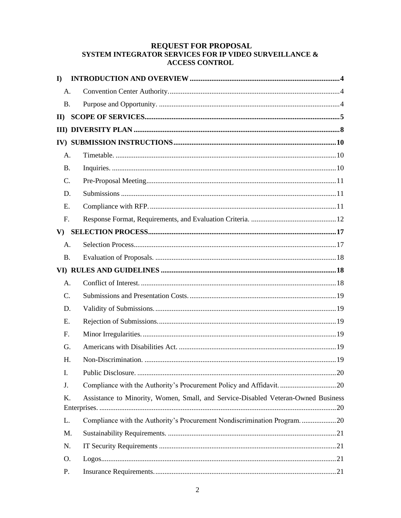# REQUEST FOR PROPOSAL<br>SYSTEM INTEGRATOR SERVICES FOR IP VIDEO SURVEILLANCE & **ACCESS CONTROL**

| $\bf{I}$       |                                                                                   |
|----------------|-----------------------------------------------------------------------------------|
| A.             |                                                                                   |
| <b>B.</b>      |                                                                                   |
| $\mathbf{I}$   |                                                                                   |
|                |                                                                                   |
|                |                                                                                   |
| A.             |                                                                                   |
| <b>B.</b>      |                                                                                   |
| C.             |                                                                                   |
| D.             |                                                                                   |
| E.             |                                                                                   |
| F <sub>r</sub> |                                                                                   |
| $\mathbf{V}$   |                                                                                   |
| A.             |                                                                                   |
| <b>B.</b>      |                                                                                   |
|                |                                                                                   |
| A.             |                                                                                   |
| $C_{\cdot}$    |                                                                                   |
| D.             |                                                                                   |
| E.             |                                                                                   |
| F <sub>r</sub> |                                                                                   |
| G.             |                                                                                   |
| Η.             |                                                                                   |
| I.             |                                                                                   |
| J.             |                                                                                   |
| K.             | Assistance to Minority, Women, Small, and Service-Disabled Veteran-Owned Business |
| L.             | Compliance with the Authority's Procurement Nondiscrimination Program20           |
| M.             |                                                                                   |
| N.             |                                                                                   |
| O.             |                                                                                   |
| P.             |                                                                                   |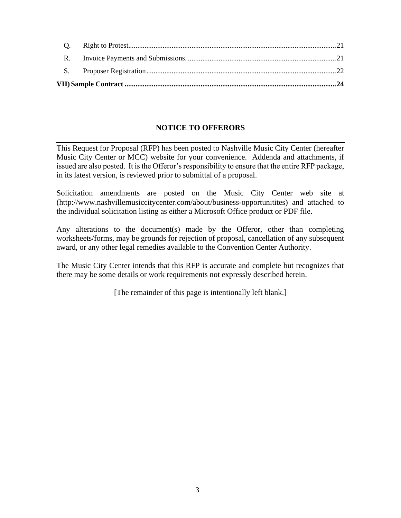| R. |  |  |
|----|--|--|
|    |  |  |

# **NOTICE TO OFFERORS**

This Request for Proposal (RFP) has been posted to Nashville Music City Center (hereafter Music City Center or MCC) website for your convenience. Addenda and attachments, if issued are also posted. It is the Offeror's responsibility to ensure that the entire RFP package, in its latest version, is reviewed prior to submittal of a proposal.

Solicitation amendments are posted on the Music City Center web site at (http://www.nashvillemusiccitycenter.com/about/business-opportunitites) and attached to the individual solicitation listing as either a Microsoft Office product or PDF file.

Any alterations to the document(s) made by the Offeror, other than completing worksheets/forms, may be grounds for rejection of proposal, cancellation of any subsequent award, or any other legal remedies available to the Convention Center Authority.

The Music City Center intends that this RFP is accurate and complete but recognizes that there may be some details or work requirements not expressly described herein.

[The remainder of this page is intentionally left blank.]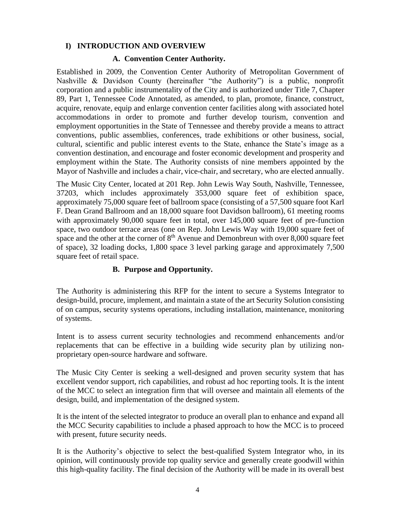### <span id="page-3-0"></span>**I) INTRODUCTION AND OVERVIEW**

### **A. Convention Center Authority.**

<span id="page-3-1"></span>Established in 2009, the Convention Center Authority of Metropolitan Government of Nashville & Davidson County (hereinafter "the Authority") is a public, nonprofit corporation and a public instrumentality of the City and is authorized under Title 7, Chapter 89, Part 1, Tennessee Code Annotated, as amended, to plan, promote, finance, construct, acquire, renovate, equip and enlarge convention center facilities along with associated hotel accommodations in order to promote and further develop tourism, convention and employment opportunities in the State of Tennessee and thereby provide a means to attract conventions, public assemblies, conferences, trade exhibitions or other business, social, cultural, scientific and public interest events to the State, enhance the State's image as a convention destination, and encourage and foster economic development and prosperity and employment within the State. The Authority consists of nine members appointed by the Mayor of Nashville and includes a chair, vice-chair, and secretary, who are elected annually.

The Music City Center, located at 201 Rep. John Lewis Way South, Nashville, Tennessee, 37203, which includes approximately 353,000 square feet of exhibition space, approximately 75,000 square feet of ballroom space (consisting of a 57,500 square foot Karl F. Dean Grand Ballroom and an 18,000 square foot Davidson ballroom), 61 meeting rooms with approximately 90,000 square feet in total, over 145,000 square feet of pre-function space, two outdoor terrace areas (one on Rep. John Lewis Way with 19,000 square feet of space and the other at the corner of  $8<sup>th</sup>$  Avenue and Demonbreun with over  $8,000$  square feet of space), 32 loading docks, 1,800 space 3 level parking garage and approximately 7,500 square feet of retail space.

### **B. Purpose and Opportunity.**

<span id="page-3-2"></span>The Authority is administering this RFP for the intent to secure a Systems Integrator to design-build, procure, implement, and maintain a state of the art Security Solution consisting of on campus, security systems operations, including installation, maintenance, monitoring of systems.

Intent is to assess current security technologies and recommend enhancements and/or replacements that can be effective in a building wide security plan by utilizing nonproprietary open-source hardware and software.

The Music City Center is seeking a well-designed and proven security system that has excellent vendor support, rich capabilities, and robust ad hoc reporting tools. It is the intent of the MCC to select an integration firm that will oversee and maintain all elements of the design, build, and implementation of the designed system.

It is the intent of the selected integrator to produce an overall plan to enhance and expand all the MCC Security capabilities to include a phased approach to how the MCC is to proceed with present, future security needs.

It is the Authority's objective to select the best-qualified System Integrator who, in its opinion, will continuously provide top quality service and generally create goodwill within this high-quality facility. The final decision of the Authority will be made in its overall best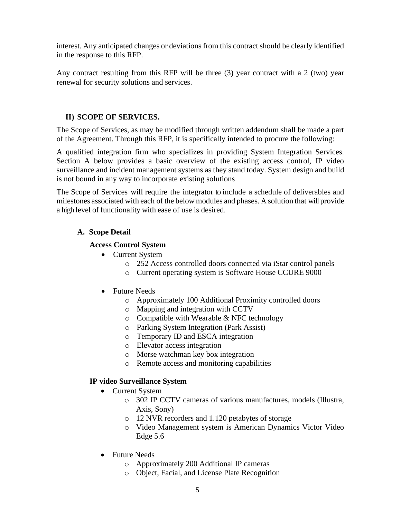interest. Any anticipated changes or deviations from this contract should be clearly identified in the response to this RFP.

Any contract resulting from this RFP will be three (3) year contract with a 2 (two) year renewal for security solutions and services.

# <span id="page-4-0"></span>**II) SCOPE OF SERVICES.**

The Scope of Services, as may be modified through written addendum shall be made a part of the Agreement. Through this RFP, it is specifically intended to procure the following:

A qualified integration firm who specializes in providing System Integration Services. Section A below provides a basic overview of the existing access control, IP video surveillance and incident management systems as they stand today. System design and build is not bound in any way to incorporate existing solutions

The Scope of Services will require the integrator to include a schedule of deliverables and milestones associated with each of the below modules and phases. A solution that will provide a high level of functionality with ease of use is desired.

# **A. Scope Detail**

# **Access Control System**

- Current System
	- o 252 Access controlled doors connected via iStar control panels
	- o Current operating system is Software House CCURE 9000

# • Future Needs

- o Approximately 100 Additional Proximity controlled doors
- o Mapping and integration with CCTV
- o Compatible with Wearable & NFC technology
- o Parking System Integration (Park Assist)
- o Temporary ID and ESCA integration
- o Elevator access integration
- o Morse watchman key box integration
- o Remote access and monitoring capabilities

# **IP video Surveillance System**

- Current System
	- o 302 IP CCTV cameras of various manufactures, models (Illustra, Axis, Sony)
	- o 12 NVR recorders and 1.120 petabytes of storage
	- o Video Management system is American Dynamics Victor Video Edge 5.6
- Future Needs
	- o Approximately 200 Additional IP cameras
	- o Object, Facial, and License Plate Recognition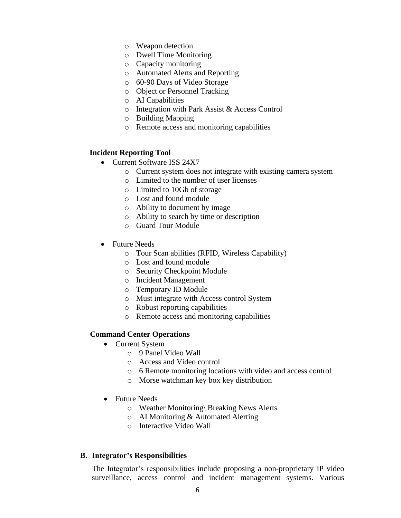- o Weapon detection
- o Dwell Time Monitoring
- o Capacity monitoring
- o Automated Alerts and Reporting
- o 60-90 Days of Video Storage
- o Object or Personnel Tracking
- o AI Capabilities
- o Integration with Park Assist & Access Control
- o Building Mapping
- o Remote access and monitoring capabilities

### **Incident Reporting Tool**

- Current Software ISS 24X7
	- o Current system does not integrate with existing camera system
	- o Limited to the number of user licenses
	- o Limited to 10Gb of storage
	- o Lost and found module
	- o Ability to document by image
	- o Ability to search by time or description
	- o Guard Tour Module
- Future Needs
	- o Tour Scan abilities (RFID, Wireless Capability)
	- o Lost and found module
	- o Security Checkpoint Module
	- o Incident Management
	- o Temporary ID Module
	- o Must integrate with Access control System
	- o Robust reporting capabilities
	- o Remote access and monitoring capabilities

#### **Command Center Operations**

- Current System
	- o 9 Panel Video Wall
	- o Access and Video control
	- o 6 Remote monitoring locations with video and access control
	- o Morse watchman key box key distribution
- Future Needs
	- o Weather Monitoring\ Breaking News Alerts
	- o AI Monitoring & Automated Alerting
	- o Interactive Video Wall

#### **B. Integrator's Responsibilities**

The Integrator's responsibilities include proposing a non-proprietary IP video surveillance, access control and incident management systems. Various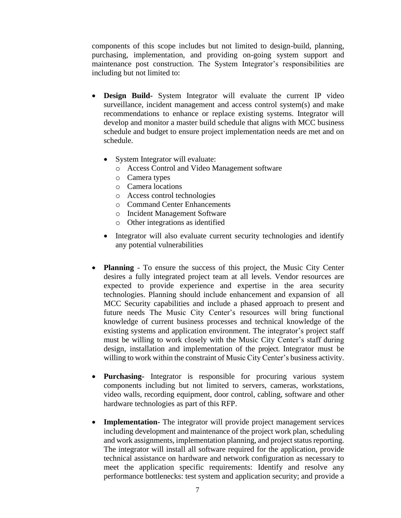components of this scope includes but not limited to design-build, planning, purchasing, implementation, and providing on-going system support and maintenance post construction. The System Integrator's responsibilities are including but not limited to:

- **Design Build-** System Integrator will evaluate the current IP video surveillance, incident management and access control system(s) and make recommendations to enhance or replace existing systems. Integrator will develop and monitor a master build schedule that aligns with MCC business schedule and budget to ensure project implementation needs are met and on schedule.
	- System Integrator will evaluate:
		- o Access Control and Video Management software
		- o Camera types
		- o Camera locations
		- o Access control technologies
		- o Command Center Enhancements
		- o Incident Management Software
		- o Other integrations as identified
	- Integrator will also evaluate current security technologies and identify any potential vulnerabilities
- **Planning**  To ensure the success of this project, the Music City Center desires a fully integrated project team at all levels. Vendor resources are expected to provide experience and expertise in the area security technologies. Planning should include enhancement and expansion of all MCC Security capabilities and include a phased approach to present and future needs The Music City Center's resources will bring functional knowledge of current business processes and technical knowledge of the existing systems and application environment. The integrator's project staff must be willing to work closely with the Music City Center's staff during design, installation and implementation of the project. Integrator must be willing to work within the constraint of Music City Center's business activity.
- **Purchasing-** Integrator is responsible for procuring various system components including but not limited to servers, cameras, workstations, video walls, recording equipment, door control, cabling, software and other hardware technologies as part of this RFP.
- **Implementation-** The integrator will provide project management services including development and maintenance of the project work plan, scheduling and work assignments, implementation planning, and project status reporting. The integrator will install all software required for the application, provide technical assistance on hardware and network configuration as necessary to meet the application specific requirements: Identify and resolve any performance bottlenecks: test system and application security; and provide a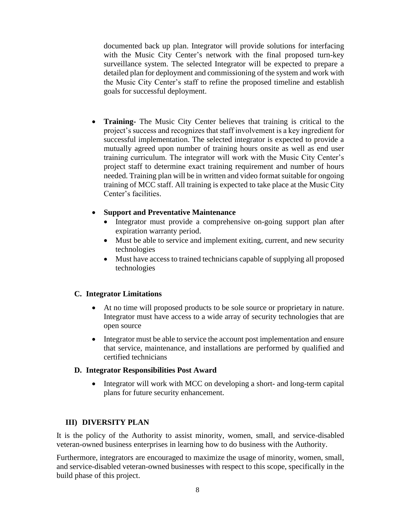documented back up plan. Integrator will provide solutions for interfacing with the Music City Center's network with the final proposed turn-key surveillance system. The selected Integrator will be expected to prepare a detailed plan for deployment and commissioning of the system and work with the Music City Center's staff to refine the proposed timeline and establish goals for successful deployment.

• **Training-** The Music City Center believes that training is critical to the project's success and recognizes that staff involvement is a key ingredient for successful implementation. The selected integrator is expected to provide a mutually agreed upon number of training hours onsite as well as end user training curriculum. The integrator will work with the Music City Center's project staff to determine exact training requirement and number of hours needed. Training plan will be in written and video format suitable for ongoing training of MCC staff. All training is expected to take place at the Music City Center's facilities.

### • **Support and Preventative Maintenance**

- Integrator must provide a comprehensive on-going support plan after expiration warranty period.
- Must be able to service and implement exiting, current, and new security technologies
- Must have access to trained technicians capable of supplying all proposed technologies

### **C. Integrator Limitations**

- At no time will proposed products to be sole source or proprietary in nature. Integrator must have access to a wide array of security technologies that are open source
- Integrator must be able to service the account post implementation and ensure that service, maintenance, and installations are performed by qualified and certified technicians

### **D. Integrator Responsibilities Post Award**

• Integrator will work with MCC on developing a short- and long-term capital plans for future security enhancement.

# <span id="page-7-0"></span>**III) DIVERSITY PLAN**

It is the policy of the Authority to assist minority, women, small, and service-disabled veteran-owned business enterprises in learning how to do business with the Authority.

Furthermore, integrators are encouraged to maximize the usage of minority, women, small, and service-disabled veteran-owned businesses with respect to this scope, specifically in the build phase of this project.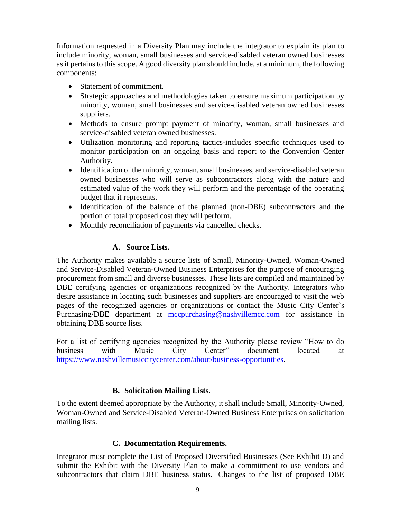Information requested in a Diversity Plan may include the integrator to explain its plan to include minority, woman, small businesses and service-disabled veteran owned businesses as it pertains to this scope. A good diversity plan should include, at a minimum, the following components:

- Statement of commitment.
- Strategic approaches and methodologies taken to ensure maximum participation by minority, woman, small businesses and service-disabled veteran owned businesses suppliers.
- Methods to ensure prompt payment of minority, woman, small businesses and service-disabled veteran owned businesses.
- Utilization monitoring and reporting tactics-includes specific techniques used to monitor participation on an ongoing basis and report to the Convention Center Authority.
- Identification of the minority, woman, small businesses, and service-disabled veteran owned businesses who will serve as subcontractors along with the nature and estimated value of the work they will perform and the percentage of the operating budget that it represents.
- Identification of the balance of the planned (non-DBE) subcontractors and the portion of total proposed cost they will perform.
- Monthly reconciliation of payments via cancelled checks.

# **A. Source Lists.**

The Authority makes available a source lists of Small, Minority-Owned, Woman-Owned and Service-Disabled Veteran-Owned Business Enterprises for the purpose of encouraging procurement from small and diverse businesses. These lists are compiled and maintained by DBE certifying agencies or organizations recognized by the Authority. Integrators who desire assistance in locating such businesses and suppliers are encouraged to visit the web pages of the recognized agencies or organizations or contact the Music City Center's Purchasing/DBE department at [mccpurchasing@nashvillemcc.com](mailto:mccpurchasing@nashvillemcc.com) for assistance in obtaining DBE source lists.

For a list of certifying agencies recognized by the Authority please review "How to do business with Music City Center" document located at [https://www.nashvillemusiccitycenter.com/about/business-opportunities.](https://www.nashvillemusiccitycenter.com/about/business-opportunities)

# **B. Solicitation Mailing Lists.**

To the extent deemed appropriate by the Authority, it shall include Small, Minority-Owned, Woman-Owned and Service-Disabled Veteran-Owned Business Enterprises on solicitation mailing lists.

# **C. Documentation Requirements.**

Integrator must complete the List of Proposed Diversified Businesses (See Exhibit D) and submit the Exhibit with the Diversity Plan to make a commitment to use vendors and subcontractors that claim DBE business status. Changes to the list of proposed DBE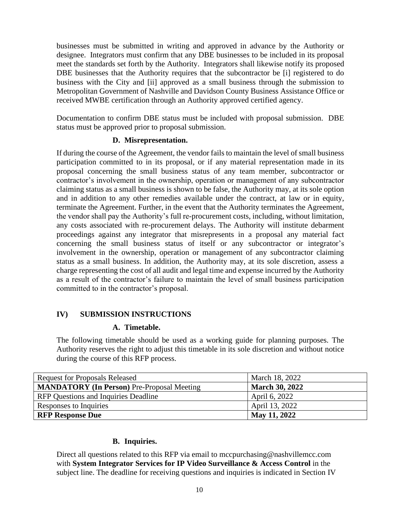businesses must be submitted in writing and approved in advance by the Authority or designee. Integrators must confirm that any DBE businesses to be included in its proposal meet the standards set forth by the Authority. Integrators shall likewise notify its proposed DBE businesses that the Authority requires that the subcontractor be [i] registered to do business with the City and [ii] approved as a small business through the submission to Metropolitan Government of Nashville and Davidson County Business Assistance Office or received MWBE certification through an Authority approved certified agency.

Documentation to confirm DBE status must be included with proposal submission. DBE status must be approved prior to proposal submission.

### **D. Misrepresentation.**

If during the course of the Agreement, the vendor fails to maintain the level of small business participation committed to in its proposal, or if any material representation made in its proposal concerning the small business status of any team member, subcontractor or contractor's involvement in the ownership, operation or management of any subcontractor claiming status as a small business is shown to be false, the Authority may, at its sole option and in addition to any other remedies available under the contract, at law or in equity, terminate the Agreement. Further, in the event that the Authority terminates the Agreement, the vendor shall pay the Authority's full re-procurement costs, including, without limitation, any costs associated with re-procurement delays. The Authority will institute debarment proceedings against any integrator that misrepresents in a proposal any material fact concerning the small business status of itself or any subcontractor or integrator's involvement in the ownership, operation or management of any subcontractor claiming status as a small business. In addition, the Authority may, at its sole discretion, assess a charge representing the cost of all audit and legal time and expense incurred by the Authority as a result of the contractor's failure to maintain the level of small business participation committed to in the contractor's proposal.

# <span id="page-9-1"></span><span id="page-9-0"></span>**IV) SUBMISSION INSTRUCTIONS**

# **A. Timetable.**

The following timetable should be used as a working guide for planning purposes. The Authority reserves the right to adjust this timetable in its sole discretion and without notice during the course of this RFP process.

| <b>Request for Proposals Released</b>             | March 18, 2022        |
|---------------------------------------------------|-----------------------|
| <b>MANDATORY</b> (In Person) Pre-Proposal Meeting | <b>March 30, 2022</b> |
| <b>RFP</b> Questions and Inquiries Deadline       | April 6, 2022         |
| Responses to Inquiries                            | April 13, 2022        |
| <b>RFP Response Due</b>                           | May 11, 2022          |

# **B. Inquiries.**

<span id="page-9-2"></span>Direct all questions related to this RFP via email to mccpurchasing@nashvillemcc.com with **System Integrator Services for IP Video Surveillance & Access Control** in the subject line. The deadline for receiving questions and inquiries is indicated in Section IV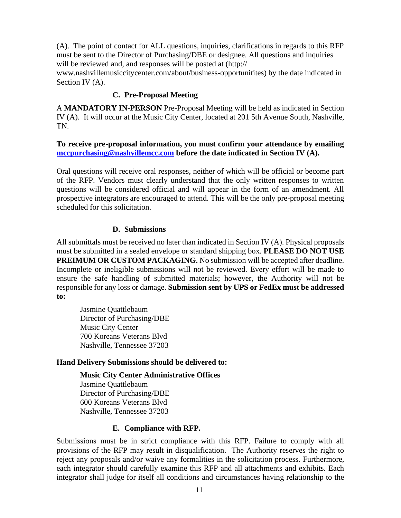(A). The point of contact for ALL questions, inquiries, clarifications in regards to this RFP must be sent to the Director of Purchasing/DBE or designee. All questions and inquiries will be reviewed and, and responses will be posted at (http://

<span id="page-10-0"></span>www.nashvillemusiccitycenter.com/about/business-opportunitites) by the date indicated in Section IV (A).

# **C. Pre-Proposal Meeting**

A **MANDATORY IN-PERSON** Pre-Proposal Meeting will be held as indicated in Section IV (A). It will occur at the Music City Center, located at 201 5th Avenue South, Nashville, TN.

### **To receive pre-proposal information, you must confirm your attendance by emailing [mccpurchasing@nashvillemcc.com](mailto:mccpurchasing@nashvillemcc.com) before the date indicated in Section IV (A).**

Oral questions will receive oral responses, neither of which will be official or become part of the RFP. Vendors must clearly understand that the only written responses to written questions will be considered official and will appear in the form of an amendment. All prospective integrators are encouraged to attend. This will be the only pre-proposal meeting scheduled for this solicitation.

### **D. Submissions**

<span id="page-10-1"></span>All submittals must be received no later than indicated in Section IV (A). Physical proposals must be submitted in a sealed envelope or standard shipping box. **PLEASE DO NOT USE PREIMUM OR CUSTOM PACKAGING.** No submission will be accepted after deadline. Incomplete or ineligible submissions will not be reviewed. Every effort will be made to ensure the safe handling of submitted materials; however, the Authority will not be responsible for any loss or damage. **Submission sent by UPS or FedEx must be addressed to:**

Jasmine Quattlebaum Director of Purchasing/DBE Music City Center 700 Koreans Veterans Blvd Nashville, Tennessee 37203

# **Hand Delivery Submissions should be delivered to:**

### **Music City Center Administrative Offices**

Jasmine Quattlebaum Director of Purchasing/DBE 600 Koreans Veterans Blvd Nashville, Tennessee 37203

# **E. Compliance with RFP.**

<span id="page-10-2"></span>Submissions must be in strict compliance with this RFP. Failure to comply with all provisions of the RFP may result in disqualification. The Authority reserves the right to reject any proposals and/or waive any formalities in the solicitation process. Furthermore, each integrator should carefully examine this RFP and all attachments and exhibits. Each integrator shall judge for itself all conditions and circumstances having relationship to the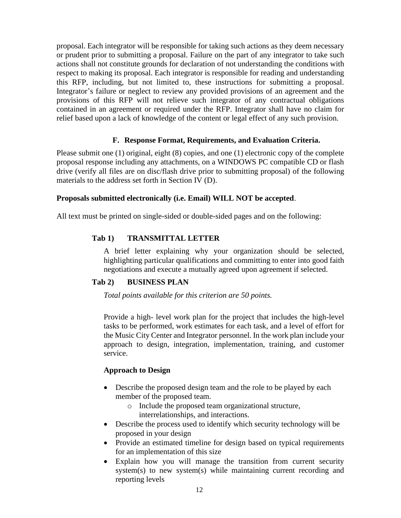proposal. Each integrator will be responsible for taking such actions as they deem necessary or prudent prior to submitting a proposal. Failure on the part of any integrator to take such actions shall not constitute grounds for declaration of not understanding the conditions with respect to making its proposal. Each integrator is responsible for reading and understanding this RFP, including, but not limited to, these instructions for submitting a proposal. Integrator's failure or neglect to review any provided provisions of an agreement and the provisions of this RFP will not relieve such integrator of any contractual obligations contained in an agreement or required under the RFP. Integrator shall have no claim for relief based upon a lack of knowledge of the content or legal effect of any such provision.

# **F. Response Format, Requirements, and Evaluation Criteria.**

<span id="page-11-0"></span>Please submit one (1) original, eight (8) copies, and one (1) electronic copy of the complete proposal response including any attachments, on a WINDOWS PC compatible CD or flash drive (verify all files are on disc/flash drive prior to submitting proposal) of the following materials to the address set forth in Section IV (D).

# **Proposals submitted electronically (i.e. Email) WILL NOT be accepted**.

All text must be printed on single-sided or double-sided pages and on the following:

# **Tab 1) TRANSMITTAL LETTER**

A brief letter explaining why your organization should be selected, highlighting particular qualifications and committing to enter into good faith negotiations and execute a mutually agreed upon agreement if selected.

# **Tab 2) BUSINESS PLAN**

*Total points available for this criterion are 50 points.*

Provide a high- level work plan for the project that includes the high-level tasks to be performed, work estimates for each task, and a level of effort for the Music City Center and Integrator personnel. In the work plan include your approach to design, integration, implementation, training, and customer service.

# **Approach to Design**

- Describe the proposed design team and the role to be played by each member of the proposed team.
	- o Include the proposed team organizational structure, interrelationships, and interactions.
- Describe the process used to identify which security technology will be proposed in your design
- Provide an estimated timeline for design based on typical requirements for an implementation of this size
- Explain how you will manage the transition from current security system(s) to new system(s) while maintaining current recording and reporting levels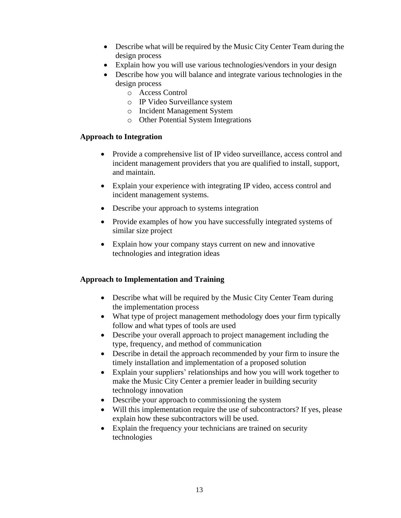- Describe what will be required by the Music City Center Team during the design process
- Explain how you will use various technologies/vendors in your design
- Describe how you will balance and integrate various technologies in the design process
	- o Access Control
	- o IP Video Surveillance system
	- o Incident Management System
	- o Other Potential System Integrations

# **Approach to Integration**

- Provide a comprehensive list of IP video surveillance, access control and incident management providers that you are qualified to install, support, and maintain.
- Explain your experience with integrating IP video, access control and incident management systems.
- Describe your approach to systems integration
- Provide examples of how you have successfully integrated systems of similar size project
- Explain how your company stays current on new and innovative technologies and integration ideas

# **Approach to Implementation and Training**

- Describe what will be required by the Music City Center Team during the implementation process
- What type of project management methodology does your firm typically follow and what types of tools are used
- Describe your overall approach to project management including the type, frequency, and method of communication
- Describe in detail the approach recommended by your firm to insure the timely installation and implementation of a proposed solution
- Explain your suppliers' relationships and how you will work together to make the Music City Center a premier leader in building security technology innovation
- Describe your approach to commissioning the system
- Will this implementation require the use of subcontractors? If yes, please explain how these subcontractors will be used.
- Explain the frequency your technicians are trained on security technologies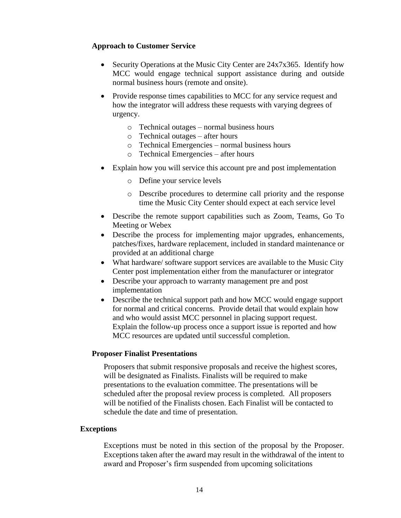### **Approach to Customer Service**

- Security Operations at the Music City Center are 24x7x365. Identify how MCC would engage technical support assistance during and outside normal business hours (remote and onsite).
- Provide response times capabilities to MCC for any service request and how the integrator will address these requests with varying degrees of urgency.
	- o Technical outages normal business hours
	- o Technical outages after hours
	- o Technical Emergencies normal business hours
	- o Technical Emergencies after hours
- Explain how you will service this account pre and post implementation
	- o Define your service levels
	- o Describe procedures to determine call priority and the response time the Music City Center should expect at each service level
- Describe the remote support capabilities such as Zoom, Teams, Go To Meeting or Webex
- Describe the process for implementing major upgrades, enhancements, patches/fixes, hardware replacement, included in standard maintenance or provided at an additional charge
- What hardware/ software support services are available to the Music City Center post implementation either from the manufacturer or integrator
- Describe your approach to warranty management pre and post implementation
- Describe the technical support path and how MCC would engage support for normal and critical concerns. Provide detail that would explain how and who would assist MCC personnel in placing support request. Explain the follow-up process once a support issue is reported and how MCC resources are updated until successful completion.

### **Proposer Finalist Presentations**

Proposers that submit responsive proposals and receive the highest scores, will be designated as Finalists. Finalists will be required to make presentations to the evaluation committee. The presentations will be scheduled after the proposal review process is completed. All proposers will be notified of the Finalists chosen. Each Finalist will be contacted to schedule the date and time of presentation.

### **Exceptions**

Exceptions must be noted in this section of the proposal by the Proposer. Exceptions taken after the award may result in the withdrawal of the intent to award and Proposer's firm suspended from upcoming solicitations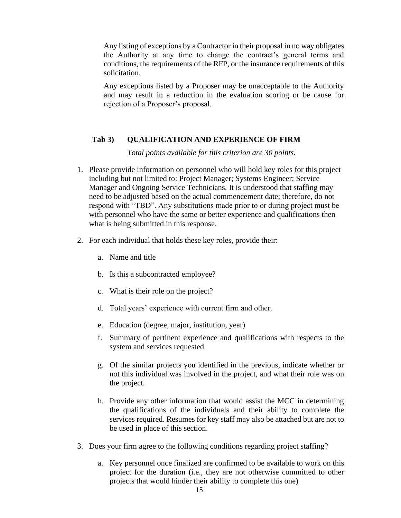Any listing of exceptions by a Contractor in their proposal in no way obligates the Authority at any time to change the contract's general terms and conditions, the requirements of the RFP, or the insurance requirements of this solicitation.

Any exceptions listed by a Proposer may be unacceptable to the Authority and may result in a reduction in the evaluation scoring or be cause for rejection of a Proposer's proposal.

### **Tab 3) QUALIFICATION AND EXPERIENCE OF FIRM**

*Total points available for this criterion are 30 points.*

- 1. Please provide information on personnel who will hold key roles for this project including but not limited to: Project Manager; Systems Engineer; Service Manager and Ongoing Service Technicians. It is understood that staffing may need to be adjusted based on the actual commencement date; therefore, do not respond with "TBD". Any substitutions made prior to or during project must be with personnel who have the same or better experience and qualifications then what is being submitted in this response.
- 2. For each individual that holds these key roles, provide their:
	- a. Name and title
	- b. Is this a subcontracted employee?
	- c. What is their role on the project?
	- d. Total years' experience with current firm and other.
	- e. Education (degree, major, institution, year)
	- f. Summary of pertinent experience and qualifications with respects to the system and services requested
	- g. Of the similar projects you identified in the previous, indicate whether or not this individual was involved in the project, and what their role was on the project.
	- h. Provide any other information that would assist the MCC in determining the qualifications of the individuals and their ability to complete the services required. Resumes for key staff may also be attached but are not to be used in place of this section.
- 3. Does your firm agree to the following conditions regarding project staffing?
	- a. Key personnel once finalized are confirmed to be available to work on this project for the duration (i.e., they are not otherwise committed to other projects that would hinder their ability to complete this one)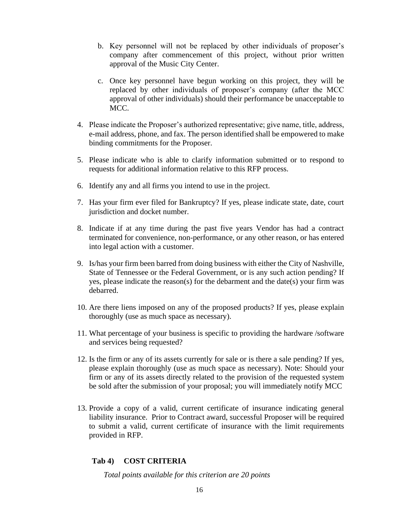- b. Key personnel will not be replaced by other individuals of proposer's company after commencement of this project, without prior written approval of the Music City Center.
- c. Once key personnel have begun working on this project, they will be replaced by other individuals of proposer's company (after the MCC approval of other individuals) should their performance be unacceptable to MCC.
- 4. Please indicate the Proposer's authorized representative; give name, title, address, e-mail address, phone, and fax. The person identified shall be empowered to make binding commitments for the Proposer.
- 5. Please indicate who is able to clarify information submitted or to respond to requests for additional information relative to this RFP process.
- 6. Identify any and all firms you intend to use in the project.
- 7. Has your firm ever filed for Bankruptcy? If yes, please indicate state, date, court jurisdiction and docket number.
- 8. Indicate if at any time during the past five years Vendor has had a contract terminated for convenience, non-performance, or any other reason, or has entered into legal action with a customer.
- 9. Is/has your firm been barred from doing business with either the City of Nashville, State of Tennessee or the Federal Government, or is any such action pending? If yes, please indicate the reason(s) for the debarment and the date(s) your firm was debarred.
- 10. Are there liens imposed on any of the proposed products? If yes, please explain thoroughly (use as much space as necessary).
- 11. What percentage of your business is specific to providing the hardware /software and services being requested?
- 12. Is the firm or any of its assets currently for sale or is there a sale pending? If yes, please explain thoroughly (use as much space as necessary). Note: Should your firm or any of its assets directly related to the provision of the requested system be sold after the submission of your proposal; you will immediately notify MCC
- 13. Provide a copy of a valid, current certificate of insurance indicating general liability insurance. Prior to Contract award, successful Proposer will be required to submit a valid, current certificate of insurance with the limit requirements provided in RFP.

# **Tab 4) COST CRITERIA**

*Total points available for this criterion are 20 points*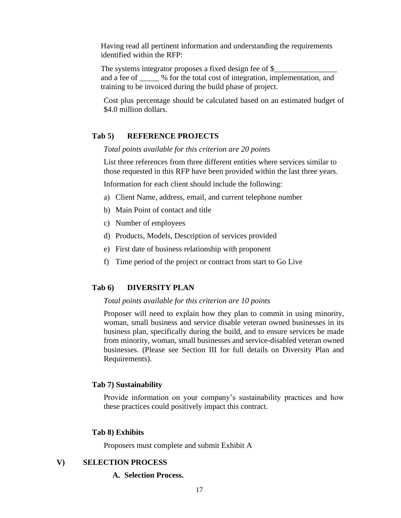Having read all pertinent information and understanding the requirements identified within the RFP:

The systems integrator proposes a fixed design fee of \$ and a fee of \_\_\_\_\_ % for the total cost of integration, implementation, and training to be invoiced during the build phase of project.

Cost plus percentage should be calculated based on an estimated budget of \$4.0 million dollars.

### **Tab 5) REFERENCE PROJECTS**

*Total points available for this criterion are 20 points*

List three references from three different entities where services similar to those requested in this RFP have been provided within the last three years.

Information for each client should include the following:

- a) Client Name, address, email, and current telephone number
- b) Main Point of contact and title
- c) Number of employees
- d) Products, Models, Description of services provided
- e) First date of business relationship with proponent
- f) Time period of the project or contract from start to Go Live

### **Tab 6) DIVERSITY PLAN**

#### *Total points available for this criterion are 10 points*

Proposer will need to explain how they plan to commit in using minority, woman, small business and service disable veteran owned businesses in its business plan, specifically during the build, and to ensure services be made from minority, woman, small businesses and service-disabled veteran owned businesses. (Please see Section III for full details on Diversity Plan and Requirements).

### **Tab 7) Sustainability**

Provide information on your company's sustainability practices and how these practices could positively impact this contract.

#### **Tab 8) Exhibits**

Proposers must complete and submit Exhibit A

### <span id="page-16-1"></span><span id="page-16-0"></span>**V) SELECTION PROCESS**

#### **A. Selection Process.**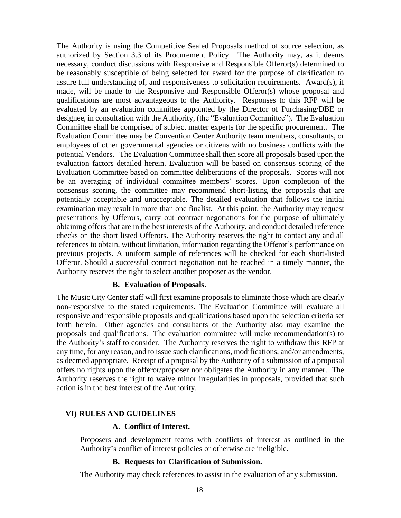The Authority is using the Competitive Sealed Proposals method of source selection, as authorized by Section 3.3 of its Procurement Policy. The Authority may, as it deems necessary, conduct discussions with Responsive and Responsible Offeror(s) determined to be reasonably susceptible of being selected for award for the purpose of clarification to assure full understanding of, and responsiveness to solicitation requirements. Award(s), if made, will be made to the Responsive and Responsible Offeror(s) whose proposal and qualifications are most advantageous to the Authority. Responses to this RFP will be evaluated by an evaluation committee appointed by the Director of Purchasing/DBE or designee, in consultation with the Authority, (the "Evaluation Committee"). The Evaluation Committee shall be comprised of subject matter experts for the specific procurement. The Evaluation Committee may be Convention Center Authority team members, consultants, or employees of other governmental agencies or citizens with no business conflicts with the potential Vendors. The Evaluation Committee shall then score all proposals based upon the evaluation factors detailed herein. Evaluation will be based on consensus scoring of the Evaluation Committee based on committee deliberations of the proposals. Scores will not be an averaging of individual committee members' scores. Upon completion of the consensus scoring, the committee may recommend short-listing the proposals that are potentially acceptable and unacceptable. The detailed evaluation that follows the initial examination may result in more than one finalist. At this point, the Authority may request presentations by Offerors, carry out contract negotiations for the purpose of ultimately obtaining offers that are in the best interests of the Authority, and conduct detailed reference checks on the short listed Offerors. The Authority reserves the right to contact any and all references to obtain, without limitation, information regarding the Offeror's performance on previous projects. A uniform sample of references will be checked for each short-listed Offeror. Should a successful contract negotiation not be reached in a timely manner, the Authority reserves the right to select another proposer as the vendor.

### **B. Evaluation of Proposals.**

<span id="page-17-0"></span>The Music City Center staff will first examine proposals to eliminate those which are clearly non-responsive to the stated requirements. The Evaluation Committee will evaluate all responsive and responsible proposals and qualifications based upon the selection criteria set forth herein. Other agencies and consultants of the Authority also may examine the proposals and qualifications. The evaluation committee will make recommendation(s) to the Authority's staff to consider. The Authority reserves the right to withdraw this RFP at any time, for any reason, and to issue such clarifications, modifications, and/or amendments, as deemed appropriate. Receipt of a proposal by the Authority of a submission of a proposal offers no rights upon the offeror/proposer nor obligates the Authority in any manner. The Authority reserves the right to waive minor irregularities in proposals, provided that such action is in the best interest of the Authority.

### <span id="page-17-2"></span><span id="page-17-1"></span>**VI) RULES AND GUIDELINES**

### **A. Conflict of Interest.**

Proposers and development teams with conflicts of interest as outlined in the Authority's conflict of interest policies or otherwise are ineligible.

### **B. Requests for Clarification of Submission.**

The Authority may check references to assist in the evaluation of any submission.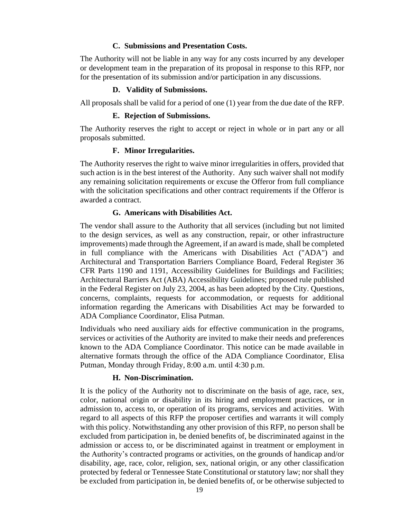### **C. Submissions and Presentation Costs.**

<span id="page-18-0"></span>The Authority will not be liable in any way for any costs incurred by any developer or development team in the preparation of its proposal in response to this RFP, nor for the presentation of its submission and/or participation in any discussions.

### <span id="page-18-1"></span>**D. Validity of Submissions.**

<span id="page-18-2"></span>All proposals shall be valid for a period of one (1) year from the due date of the RFP.

### **E. Rejection of Submissions.**

<span id="page-18-3"></span>The Authority reserves the right to accept or reject in whole or in part any or all proposals submitted.

### **F. Minor Irregularities.**

The Authority reserves the right to waive minor irregularities in offers, provided that such action is in the best interest of the Authority. Any such waiver shall not modify any remaining solicitation requirements or excuse the Offeror from full compliance with the solicitation specifications and other contract requirements if the Offeror is awarded a contract.

### **G. Americans with Disabilities Act.**

<span id="page-18-4"></span>The vendor shall assure to the Authority that all services (including but not limited to the design services, as well as any construction, repair, or other infrastructure improvements) made through the Agreement, if an award is made, shall be completed in full compliance with the Americans with Disabilities Act ("ADA") and Architectural and Transportation Barriers Compliance Board, Federal Register 36 CFR Parts 1190 and 1191, Accessibility Guidelines for Buildings and Facilities; Architectural Barriers Act (ABA) Accessibility Guidelines; proposed rule published in the Federal Register on July 23, 2004, as has been adopted by the City. Questions, concerns, complaints, requests for accommodation, or requests for additional information regarding the Americans with Disabilities Act may be forwarded to ADA Compliance Coordinator, Elisa Putman.

Individuals who need auxiliary aids for effective communication in the programs, services or activities of the Authority are invited to make their needs and preferences known to the ADA Compliance Coordinator. This notice can be made available in alternative formats through the office of the ADA Compliance Coordinator, Elisa Putman, Monday through Friday, 8:00 a.m. until 4:30 p.m.

### **H. Non-Discrimination.**

<span id="page-18-5"></span>It is the policy of the Authority not to discriminate on the basis of age, race, sex, color, national origin or disability in its hiring and employment practices, or in admission to, access to, or operation of its programs, services and activities. With regard to all aspects of this RFP the proposer certifies and warrants it will comply with this policy. Notwithstanding any other provision of this RFP, no person shall be excluded from participation in, be denied benefits of, be discriminated against in the admission or access to, or be discriminated against in treatment or employment in the Authority's contracted programs or activities, on the grounds of handicap and/or disability, age, race, color, religion, sex, national origin, or any other classification protected by federal or Tennessee State Constitutional or statutory law; nor shall they be excluded from participation in, be denied benefits of, or be otherwise subjected to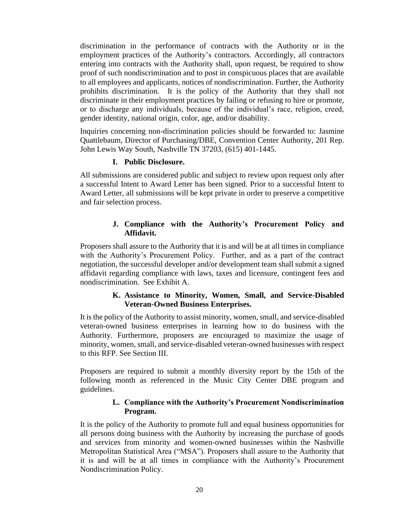discrimination in the performance of contracts with the Authority or in the employment practices of the Authority's contractors. Accordingly, all contractors entering into contracts with the Authority shall, upon request, be required to show proof of such nondiscrimination and to post in conspicuous places that are available to all employees and applicants, notices of nondiscrimination. Further, the Authority prohibits discrimination. It is the policy of the Authority that they shall not discriminate in their employment practices by failing or refusing to hire or promote, or to discharge any individuals, because of the individual's race, religion, creed, gender identity, national origin, color, age, and/or disability.

Inquiries concerning non-discrimination policies should be forwarded to: Jasmine Quattlebaum, Director of Purchasing/DBE, Convention Center Authority, 201 Rep. John Lewis Way South, Nashville TN 37203, (615) 401-1445.

### **I. Public Disclosure.**

<span id="page-19-0"></span>All submissions are considered public and subject to review upon request only after a successful Intent to Award Letter has been signed. Prior to a successful Intent to Award Letter, all submissions will be kept private in order to preserve a competitive and fair selection process.

### **J. Compliance with the Authority's Procurement Policy and Affidavit.**

<span id="page-19-1"></span>Proposers shall assure to the Authority that it is and will be at all times in compliance with the Authority's Procurement Policy. Further, and as a part of the contract negotiation, the successful developer and/or development team shall submit a signed affidavit regarding compliance with laws, taxes and licensure, contingent fees and nondiscrimination. See Exhibit A.

### **K. Assistance to Minority, Women, Small, and Service-Disabled Veteran-Owned Business Enterprises.**

<span id="page-19-2"></span>It is the policy of the Authority to assist minority, women, small, and service-disabled veteran-owned business enterprises in learning how to do business with the Authority. Furthermore, proposers are encouraged to maximize the usage of minority, women, small, and service-disabled veteran-owned businesses with respect to this RFP. See Section III.

<span id="page-19-3"></span>Proposers are required to submit a monthly diversity report by the 15th of the following month as referenced in the Music City Center DBE program and guidelines.

### **L. Compliance with the Authority's Procurement Nondiscrimination Program.**

It is the policy of the Authority to promote full and equal business opportunities for all persons doing business with the Authority by increasing the purchase of goods and services from minority and women-owned businesses within the Nashville Metropolitan Statistical Area ("MSA"). Proposers shall assure to the Authority that it is and will be at all times in compliance with the Authority's Procurement Nondiscrimination Policy.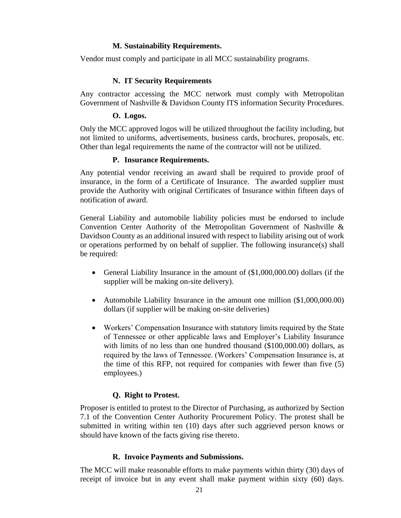### **M. Sustainability Requirements.**

<span id="page-20-0"></span>Vendor must comply and participate in all MCC sustainability programs.

# **N. IT Security Requirements**

<span id="page-20-1"></span>Any contractor accessing the MCC network must comply with Metropolitan Government of Nashville & Davidson County ITS information Security Procedures.

### **O. Logos.**

<span id="page-20-2"></span>Only the MCC approved logos will be utilized throughout the facility including, but not limited to uniforms, advertisements, business cards, brochures, proposals, etc. Other than legal requirements the name of the contractor will not be utilized.

### **P. Insurance Requirements.**

<span id="page-20-3"></span>Any potential vendor receiving an award shall be required to provide proof of insurance, in the form of a Certificate of Insurance. The awarded supplier must provide the Authority with original Certificates of Insurance within fifteen days of notification of award.

General Liability and automobile liability policies must be endorsed to include Convention Center Authority of the Metropolitan Government of Nashville & Davidson County as an additional insured with respect to liability arising out of work or operations performed by on behalf of supplier. The following insurance(s) shall be required:

- General Liability Insurance in the amount of  $(\$1,000,000.00)$  dollars (if the supplier will be making on-site delivery).
- Automobile Liability Insurance in the amount one million (\$1,000,000.00) dollars (if supplier will be making on-site deliveries)
- Workers' Compensation Insurance with statutory limits required by the State of Tennessee or other applicable laws and Employer's Liability Insurance with limits of no less than one hundred thousand (\$100,000.00) dollars, as required by the laws of Tennessee. (Workers' Compensation Insurance is, at the time of this RFP, not required for companies with fewer than five (5) employees.)

# **Q. Right to Protest.**

<span id="page-20-4"></span>Proposer is entitled to protest to the Director of Purchasing, as authorized by Section 7.1 of the Convention Center Authority Procurement Policy. The protest shall be submitted in writing within ten (10) days after such aggrieved person knows or should have known of the facts giving rise thereto.

# **R. Invoice Payments and Submissions.**

<span id="page-20-5"></span>The MCC will make reasonable efforts to make payments within thirty (30) days of receipt of invoice but in any event shall make payment within sixty (60) days.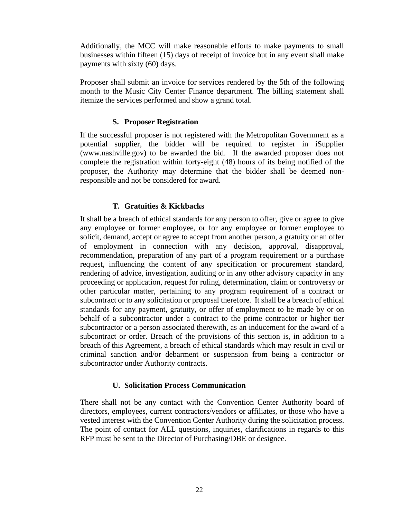Additionally, the MCC will make reasonable efforts to make payments to small businesses within fifteen (15) days of receipt of invoice but in any event shall make payments with sixty (60) days.

Proposer shall submit an invoice for services rendered by the 5th of the following month to the Music City Center Finance department. The billing statement shall itemize the services performed and show a grand total.

### **S. Proposer Registration**

<span id="page-21-0"></span>If the successful proposer is not registered with the Metropolitan Government as a potential supplier, the bidder will be required to register in iSupplier (www.nashville.gov) to be awarded the bid. If the awarded proposer does not complete the registration within forty-eight (48) hours of its being notified of the proposer, the Authority may determine that the bidder shall be deemed nonresponsible and not be considered for award.

# **T. Gratuities & Kickbacks**

It shall be a breach of ethical standards for any person to offer, give or agree to give any employee or former employee, or for any employee or former employee to solicit, demand, accept or agree to accept from another person, a gratuity or an offer of employment in connection with any decision, approval, disapproval, recommendation, preparation of any part of a program requirement or a purchase request, influencing the content of any specification or procurement standard, rendering of advice, investigation, auditing or in any other advisory capacity in any proceeding or application, request for ruling, determination, claim or controversy or other particular matter, pertaining to any program requirement of a contract or subcontract or to any solicitation or proposal therefore. It shall be a breach of ethical standards for any payment, gratuity, or offer of employment to be made by or on behalf of a subcontractor under a contract to the prime contractor or higher tier subcontractor or a person associated therewith, as an inducement for the award of a subcontract or order. Breach of the provisions of this section is, in addition to a breach of this Agreement, a breach of ethical standards which may result in civil or criminal sanction and/or debarment or suspension from being a contractor or subcontractor under Authority contracts.

### **U. Solicitation Process Communication**

There shall not be any contact with the Convention Center Authority board of directors, employees, current contractors/vendors or affiliates, or those who have a vested interest with the Convention Center Authority during the solicitation process. The point of contact for ALL questions, inquiries, clarifications in regards to this RFP must be sent to the Director of Purchasing/DBE or designee.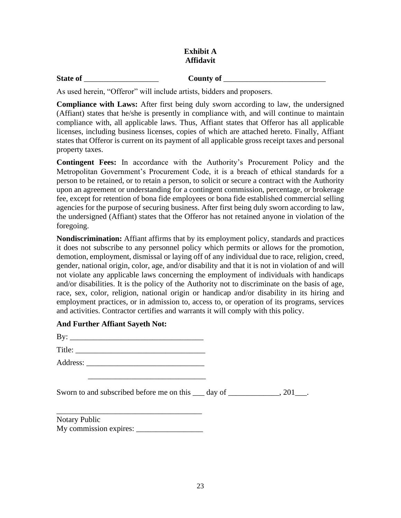# **Exhibit A Affidavit**

# **State of** \_\_\_\_\_\_\_\_\_\_\_\_\_\_\_\_\_\_\_ **County of** \_\_\_\_\_\_\_\_\_\_\_\_\_\_\_\_\_\_\_\_\_\_\_\_\_\_

As used herein, "Offeror" will include artists, bidders and proposers.

**Compliance with Laws:** After first being duly sworn according to law, the undersigned (Affiant) states that he/she is presently in compliance with, and will continue to maintain compliance with, all applicable laws. Thus, Affiant states that Offeror has all applicable licenses, including business licenses, copies of which are attached hereto. Finally, Affiant states that Offeror is current on its payment of all applicable gross receipt taxes and personal property taxes.

**Contingent Fees:** In accordance with the Authority's Procurement Policy and the Metropolitan Government's Procurement Code, it is a breach of ethical standards for a person to be retained, or to retain a person, to solicit or secure a contract with the Authority upon an agreement or understanding for a contingent commission, percentage, or brokerage fee, except for retention of bona fide employees or bona fide established commercial selling agencies for the purpose of securing business. After first being duly sworn according to law, the undersigned (Affiant) states that the Offeror has not retained anyone in violation of the foregoing.

**Nondiscrimination:** Affiant affirms that by its employment policy, standards and practices it does not subscribe to any personnel policy which permits or allows for the promotion, demotion, employment, dismissal or laying off of any individual due to race, religion, creed, gender, national origin, color, age, and/or disability and that it is not in violation of and will not violate any applicable laws concerning the employment of individuals with handicaps and/or disabilities. It is the policy of the Authority not to discriminate on the basis of age, race, sex, color, religion, national origin or handicap and/or disability in its hiring and employment practices, or in admission to, access to, or operation of its programs, services and activities. Contractor certifies and warrants it will comply with this policy.

# **And Further Affiant Sayeth Not:**

| By:      |  |  |
|----------|--|--|
| Title:   |  |  |
| Address: |  |  |

\_\_\_\_\_\_\_\_\_\_\_\_\_\_\_\_\_\_\_\_\_\_\_\_\_\_\_\_\_\_

Sworn to and subscribed before me on this day of the same of  $\sim 201$ .

Notary Public My commission expires: \_\_\_\_\_\_\_\_\_\_\_\_\_\_\_\_\_ .

\_\_\_\_\_\_\_\_\_\_\_\_\_\_\_\_\_\_\_\_\_\_\_\_\_\_\_\_\_\_\_\_\_\_\_\_\_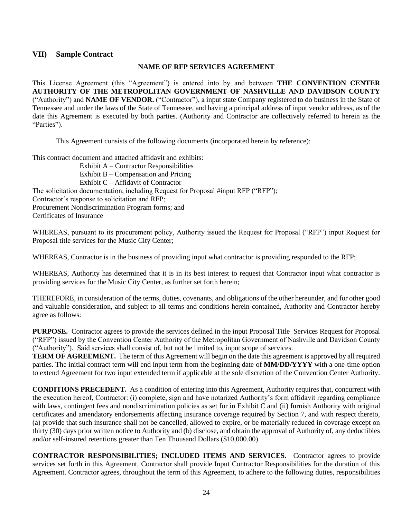### <span id="page-23-0"></span>**VII) Sample Contract**

### **NAME OF RFP SERVICES AGREEMENT**

This License Agreement (this "Agreement") is entered into by and between **THE CONVENTION CENTER AUTHORITY OF THE METROPOLITAN GOVERNMENT OF NASHVILLE AND DAVIDSON COUNTY** ("Authority") and **NAME OF VENDOR.** ("Contractor"), a input state Company registered to do business in the State of Tennessee and under the laws of the State of Tennessee, and having a principal address of input vendor address, as of the date this Agreement is executed by both parties. (Authority and Contractor are collectively referred to herein as the "Parties").

This Agreement consists of the following documents (incorporated herein by reference):

This contract document and attached affidavit and exhibits:

Exhibit A – Contractor Responsibilities Exhibit B – Compensation and Pricing Exhibit C – Affidavit of Contractor The solicitation documentation, including Request for Proposal #input RFP ("RFP"); Contractor's response to solicitation and RFP; Procurement Nondiscrimination Program forms; and Certificates of Insurance

WHEREAS, pursuant to its procurement policy, Authority issued the Request for Proposal ("RFP") input Request for Proposal title services for the Music City Center;

WHEREAS, Contractor is in the business of providing input what contractor is providing responded to the RFP;

WHEREAS, Authority has determined that it is in its best interest to request that Contractor input what contractor is providing services for the Music City Center, as further set forth herein;

THEREFORE, in consideration of the terms, duties, covenants, and obligations of the other hereunder, and for other good and valuable consideration, and subject to all terms and conditions herein contained, Authority and Contractor hereby agree as follows:

**PURPOSE.** Contractor agrees to provide the services defined in the input Proposal Title Services Request for Proposal ("RFP") issued by the Convention Center Authority of the Metropolitan Government of Nashville and Davidson County ("Authority"). Said services shall consist of, but not be limited to, input scope of services.

**TERM OF AGREEMENT.** The term of this Agreement will begin on the date this agreement is approved by all required parties. The initial contract term will end input term from the beginning date of **MM/DD/YYYY** with a one-time option to extend Agreement for two input extended term if applicable at the sole discretion of the Convention Center Authority.

**CONDITIONS PRECEDENT.** As a condition of entering into this Agreement, Authority requires that, concurrent with the execution hereof, Contractor: (i) complete, sign and have notarized Authority's form affidavit regarding compliance with laws, contingent fees and nondiscrimination policies as set for in Exhibit C and (ii) furnish Authority with original certificates and amendatory endorsements affecting insurance coverage required by Section 7, and with respect thereto, (a) provide that such insurance shall not be cancelled, allowed to expire, or be materially reduced in coverage except on thirty (30) days prior written notice to Authority and (b) disclose, and obtain the approval of Authority of, any deductibles and/or self-insured retentions greater than Ten Thousand Dollars (\$10,000.00).

**CONTRACTOR RESPONSIBILITIES; INCLUDED ITEMS AND SERVICES.** Contractor agrees to provide services set forth in this Agreement. Contractor shall provide Input Contractor Responsibilities for the duration of this Agreement. Contractor agrees, throughout the term of this Agreement, to adhere to the following duties, responsibilities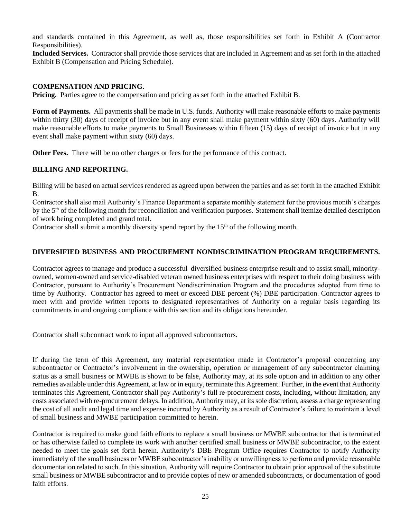and standards contained in this Agreement, as well as, those responsibilities set forth in Exhibit A (Contractor Responsibilities).

**Included Services.** Contractor shall provide those services that are included in Agreement and as set forth in the attached Exhibit B (Compensation and Pricing Schedule).

### **COMPENSATION AND PRICING.**

**Pricing.** Parties agree to the compensation and pricing as set forth in the attached Exhibit B.

**Form of Payments.** All payments shall be made in U.S. funds. Authority will make reasonable efforts to make payments within thirty (30) days of receipt of invoice but in any event shall make payment within sixty (60) days. Authority will make reasonable efforts to make payments to Small Businesses within fifteen (15) days of receipt of invoice but in any event shall make payment within sixty (60) days.

**Other Fees.** There will be no other charges or fees for the performance of this contract.

### **BILLING AND REPORTING.**

Billing will be based on actual services rendered as agreed upon between the parties and as set forth in the attached Exhibit B.

Contractor shall also mail Authority's Finance Department a separate monthly statement for the previous month's charges by the 5<sup>th</sup> of the following month for reconciliation and verification purposes. Statement shall itemize detailed description of work being completed and grand total.

Contractor shall submit a monthly diversity spend report by the  $15<sup>th</sup>$  of the following month.

### **DIVERSIFIED BUSINESS AND PROCUREMENT NONDISCRIMINATION PROGRAM REQUIREMENTS.**

Contractor agrees to manage and produce a successful diversified business enterprise result and to assist small, minorityowned, women-owned and service-disabled veteran owned business enterprises with respect to their doing business with Contractor, pursuant to Authority's Procurement Nondiscrimination Program and the procedures adopted from time to time by Authority. Contractor has agreed to meet or exceed DBE percent (%) DBE participation. Contractor agrees to meet with and provide written reports to designated representatives of Authority on a regular basis regarding its commitments in and ongoing compliance with this section and its obligations hereunder.

Contractor shall subcontract work to input all approved subcontractors.

If during the term of this Agreement, any material representation made in Contractor's proposal concerning any subcontractor or Contractor's involvement in the ownership, operation or management of any subcontractor claiming status as a small business or MWBE is shown to be false, Authority may, at its sole option and in addition to any other remedies available under this Agreement, at law or in equity, terminate this Agreement. Further, in the event that Authority terminates this Agreement, Contractor shall pay Authority's full re-procurement costs, including, without limitation, any costs associated with re-procurement delays. In addition, Authority may, at its sole discretion, assess a charge representing the cost of all audit and legal time and expense incurred by Authority as a result of Contractor's failure to maintain a level of small business and MWBE participation committed to herein.

Contractor is required to make good faith efforts to replace a small business or MWBE subcontractor that is terminated or has otherwise failed to complete its work with another certified small business or MWBE subcontractor, to the extent needed to meet the goals set forth herein. Authority's DBE Program Office requires Contractor to notify Authority immediately of the small business or MWBE subcontractor's inability or unwillingness to perform and provide reasonable documentation related to such. In this situation, Authority will require Contractor to obtain prior approval of the substitute small business or MWBE subcontractor and to provide copies of new or amended subcontracts, or documentation of good faith efforts.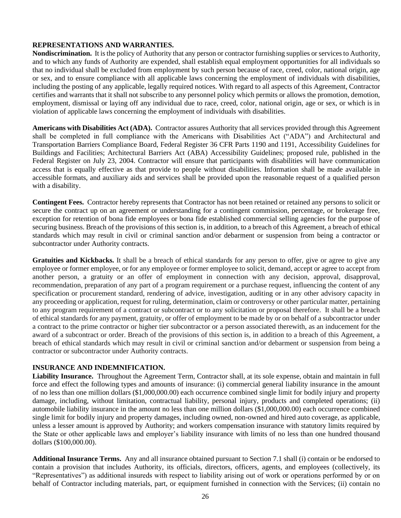### **REPRESENTATIONS AND WARRANTIES.**

**Nondiscrimination.** It is the policy of Authority that any person or contractor furnishing supplies or services to Authority, and to which any funds of Authority are expended, shall establish equal employment opportunities for all individuals so that no individual shall be excluded from employment by such person because of race, creed, color, national origin, age or sex, and to ensure compliance with all applicable laws concerning the employment of individuals with disabilities, including the posting of any applicable, legally required notices. With regard to all aspects of this Agreement, Contractor certifies and warrants that it shall not subscribe to any personnel policy which permits or allows the promotion, demotion, employment, dismissal or laying off any individual due to race, creed, color, national origin, age or sex, or which is in violation of applicable laws concerning the employment of individuals with disabilities.

**Americans with Disabilities Act (ADA).** Contractor assures Authority that all services provided through this Agreement shall be completed in full compliance with the Americans with Disabilities Act ("ADA") and Architectural and Transportation Barriers Compliance Board, Federal Register 36 CFR Parts 1190 and 1191, Accessibility Guidelines for Buildings and Facilities; Architectural Barriers Act (ABA) Accessibility Guidelines; proposed rule, published in the Federal Register on July 23, 2004. Contractor will ensure that participants with disabilities will have communication access that is equally effective as that provide to people without disabilities. Information shall be made available in accessible formats, and auxiliary aids and services shall be provided upon the reasonable request of a qualified person with a disability.

**Contingent Fees.** Contractor hereby represents that Contractor has not been retained or retained any persons to solicit or secure the contract up on an agreement or understanding for a contingent commission, percentage, or brokerage free, exception for retention of bona fide employees or bona fide established commercial selling agencies for the purpose of securing business. Breach of the provisions of this section is, in addition, to a breach of this Agreement, a breach of ethical standards which may result in civil or criminal sanction and/or debarment or suspension from being a contractor or subcontractor under Authority contracts.

**Gratuities and Kickbacks.** It shall be a breach of ethical standards for any person to offer, give or agree to give any employee or former employee, or for any employee or former employee to solicit, demand, accept or agree to accept from another person, a gratuity or an offer of employment in connection with any decision, approval, disapproval, recommendation, preparation of any part of a program requirement or a purchase request, influencing the content of any specification or procurement standard, rendering of advice, investigation, auditing or in any other advisory capacity in any proceeding or application, request for ruling, determination, claim or controversy or other particular matter, pertaining to any program requirement of a contract or subcontract or to any solicitation or proposal therefore. It shall be a breach of ethical standards for any payment, gratuity, or offer of employment to be made by or on behalf of a subcontractor under a contract to the prime contractor or higher tier subcontractor or a person associated therewith, as an inducement for the award of a subcontract or order. Breach of the provisions of this section is, in addition to a breach of this Agreement, a breach of ethical standards which may result in civil or criminal sanction and/or debarment or suspension from being a contractor or subcontractor under Authority contracts.

### **INSURANCE AND INDEMNIFICATION.**

**Liability Insurance.** Throughout the Agreement Term, Contractor shall, at its sole expense, obtain and maintain in full force and effect the following types and amounts of insurance: (i) commercial general liability insurance in the amount of no less than one million dollars (\$1,000,000.00) each occurrence combined single limit for bodily injury and property damage, including, without limitation, contractual liability, personal injury, products and completed operations; (ii) automobile liability insurance in the amount no less than one million dollars (\$1,000,000.00) each occurrence combined single limit for bodily injury and property damages, including owned, non-owned and hired auto coverage, as applicable, unless a lesser amount is approved by Authority; and workers compensation insurance with statutory limits required by the State or other applicable laws and employer's liability insurance with limits of no less than one hundred thousand dollars (\$100,000.00).

**Additional Insurance Terms.** Any and all insurance obtained pursuant to Section 7.1 shall (i) contain or be endorsed to contain a provision that includes Authority, its officials, directors, officers, agents, and employees (collectively, its "Representatives") as additional insureds with respect to liability arising out of work or operations performed by or on behalf of Contractor including materials, part, or equipment furnished in connection with the Services; (ii) contain no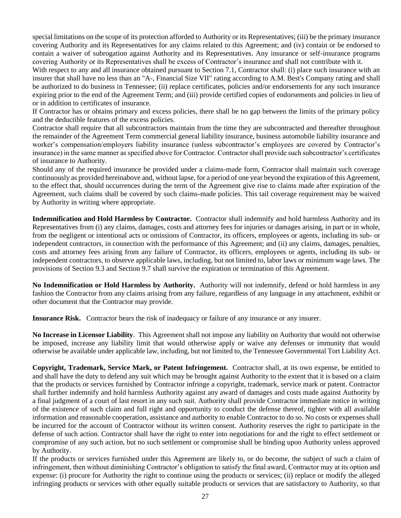special limitations on the scope of its protection afforded to Authority or its Representatives; (iii) be the primary insurance covering Authority and its Representatives for any claims related to this Agreement; and (iv) contain or be endorsed to contain a waiver of subrogation against Authority and its Representatives. Any insurance or self-insurance programs covering Authority or its Representatives shall be excess of Contractor's insurance and shall not contribute with it.

With respect to any and all insurance obtained pursuant to Section 7.1, Contractor shall: (i) place such insurance with an insurer that shall have no less than an "A-, Financial Size VII" rating according to A.M. Best's Company rating and shall be authorized to do business in Tennessee; (ii) replace certificates, policies and/or endorsements for any such insurance expiring prior to the end of the Agreement Term; and (iii) provide certified copies of endorsements and policies in lieu of or in addition to certificates of insurance.

If Contractor has or obtains primary and excess policies, there shall be no gap between the limits of the primary policy and the deductible features of the excess policies.

Contractor shall require that all subcontractors maintain from the time they are subcontracted and thereafter throughout the remainder of the Agreement Term commercial general liability insurance, business automobile liability insurance and worker's compensation/employers liability insurance (unless subcontractor's employees are covered by Contractor's insurance) in the same manner as specified above for Contractor. Contractor shall provide such subcontractor's certificates of insurance to Authority.

Should any of the required insurance be provided under a claims-made form, Contractor shall maintain such coverage continuously as provided hereinabove and, without lapse, for a period of one year beyond the expiration of this Agreement, to the effect that, should occurrences during the term of the Agreement give rise to claims made after expiration of the Agreement, such claims shall be covered by such claims-made policies. This tail coverage requirement may be waived by Authority in writing where appropriate.

**Indemnification and Hold Harmless by Contractor.** Contractor shall indemnify and hold harmless Authority and its Representatives from (i) any claims, damages, costs and attorney fees for injuries or damages arising, in part or in whole, from the negligent or intentional acts or omissions of Contractor, its officers, employees or agents, including its sub- or independent contractors, in connection with the performance of this Agreement; and (ii) any claims, damages, penalties, costs and attorney fees arising from any failure of Contractor, its officers, employees or agents, including its sub- or independent contractors, to observe applicable laws, including, but not limited to, labor laws or minimum wage laws. The provisions of Section 9.3 and Section 9.7 shall survive the expiration or termination of this Agreement.

**No Indemnification or Hold Harmless by Authority.** Authority will not indemnify, defend or hold harmless in any fashion the Contractor from any claims arising from any failure, regardless of any language in any attachment, exhibit or other document that the Contractor may provide.

**Insurance Risk.** Contractor bears the risk of inadequacy or failure of any insurance or any insurer.

**No Increase in Licensor Liability**. This Agreement shall not impose any liability on Authority that would not otherwise be imposed, increase any liability limit that would otherwise apply or waive any defenses or immunity that would otherwise be available under applicable law, including, but not limited to, the Tennessee Governmental Tort Liability Act.

**Copyright, Trademark, Service Mark, or Patent Infringement.** Contractor shall, at its own expense, be entitled to and shall have the duty to defend any suit which may be brought against Authority to the extent that it is based on a claim that the products or services furnished by Contractor infringe a copyright, trademark, service mark or patent. Contractor shall further indemnify and hold harmless Authority against any award of damages and costs made against Authority by a final judgment of a court of last resort in any such suit. Authority shall provide Contractor immediate notice in writing of the existence of such claim and full right and opportunity to conduct the defense thereof, tighter with all available information and reasonable cooperation, assistance and authority to enable Contractor to do so. No costs or expenses shall be incurred for the account of Contractor without its written consent. Authority reserves the right to participate in the defense of such action. Contractor shall have the right to enter into negotiations for and the right to effect settlement or compromise of any such action, but no such settlement or compromise shall be binding upon Authority unless approved by Authority.

If the products or services furnished under this Agreement are likely to, or do become, the subject of such a claim of infringement, then without diminishing Contractor's obligation to satisfy the final award, Contractor may at its option and expense: (i) procure for Authority the right to continue using the products or services; (ii) replace or modify the alleged infringing products or services with other equally suitable products or services that are satisfactory to Authority, so that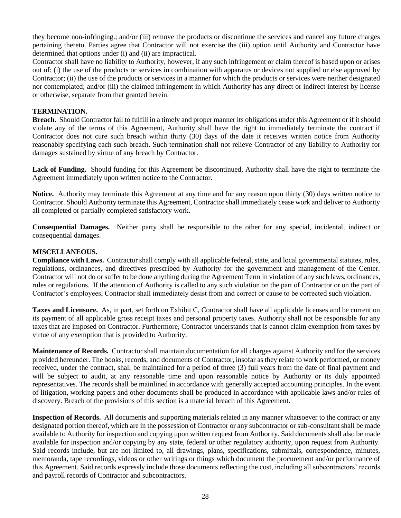they become non-infringing.; and/or (iii) remove the products or discontinue the services and cancel any future charges pertaining thereto. Parties agree that Contractor will not exercise the (iii) option until Authority and Contractor have determined that options under (i) and (ii) are impractical.

Contractor shall have no liability to Authority, however, if any such infringement or claim thereof is based upon or arises out of: (i) the use of the products or services in combination with apparatus or devices not supplied or else approved by Contractor; (ii) the use of the products or services in a manner for which the products or services were neither designated nor contemplated; and/or (iii) the claimed infringement in which Authority has any direct or indirect interest by license or otherwise, separate from that granted herein.

### **TERMINATION.**

**Breach.** Should Contractor fail to fulfill in a timely and proper manner its obligations under this Agreement or if it should violate any of the terms of this Agreement, Authority shall have the right to immediately terminate the contract if Contractor does not cure such breach within thirty (30) days of the date it receives written notice from Authority reasonably specifying each such breach. Such termination shall not relieve Contractor of any liability to Authority for damages sustained by virtue of any breach by Contractor.

**Lack of Funding.** Should funding for this Agreement be discontinued, Authority shall have the right to terminate the Agreement immediately upon written notice to the Contractor.

**Notice.** Authority may terminate this Agreement at any time and for any reason upon thirty (30) days written notice to Contractor. Should Authority terminate this Agreement, Contractor shall immediately cease work and deliver to Authority all completed or partially completed satisfactory work.

**Consequential Damages.** Neither party shall be responsible to the other for any special, incidental, indirect or consequential damages.

### **MISCELLANEOUS.**

**Compliance with Laws.** Contractor shall comply with all applicable federal, state, and local governmental statutes, rules, regulations, ordinances, and directives prescribed by Authority for the government and management of the Center. Contractor will not do or suffer to be done anything during the Agreement Term in violation of any such laws, ordinances, rules or regulations. If the attention of Authority is called to any such violation on the part of Contractor or on the part of Contractor's employees, Contractor shall immediately desist from and correct or cause to be corrected such violation.

**Taxes and Licensure.** As, in part, set forth on Exhibit C, Contractor shall have all applicable licenses and be current on its payment of all applicable gross receipt taxes and personal property taxes. Authority shall not be responsible for any taxes that are imposed on Contractor. Furthermore, Contractor understands that is cannot claim exemption from taxes by virtue of any exemption that is provided to Authority.

**Maintenance of Records.** Contractor shall maintain documentation for all charges against Authority and for the services provided hereunder. The books, records, and documents of Contractor, insofar as they relate to work performed, or money received, under the contract, shall be maintained for a period of three (3) full years from the date of final payment and will be subject to audit, at any reasonable time and upon reasonable notice by Authority or its duly appointed representatives. The records shall be mainlined in accordance with generally accepted accounting principles. In the event of litigation, working papers and other documents shall be produced in accordance with applicable laws and/or rules of discovery. Breach of the provisions of this section is a material breach of this Agreement.

**Inspection of Records.** All documents and supporting materials related in any manner whatsoever to the contract or any designated portion thereof, which are in the possession of Contractor or any subcontractor or sub-consultant shall be made available to Authority for inspection and copying upon written request from Authority. Said documents shall also be made available for inspection and/or copying by any state, federal or other regulatory authority, upon request from Authority. Said records include, but are not limited to, all drawings, plans, specifications, submittals, correspondence, minutes, memoranda, tape recordings, videos or other writings or things which document the procurement and/or performance of this Agreement. Said records expressly include those documents reflecting the cost, including all subcontractors' records and payroll records of Contractor and subcontractors.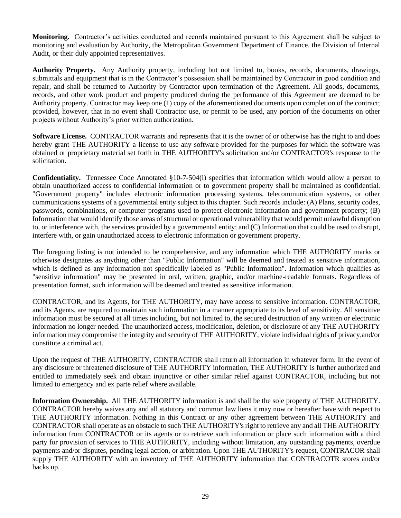**Monitoring.** Contractor's activities conducted and records maintained pursuant to this Agreement shall be subject to monitoring and evaluation by Authority, the Metropolitan Government Department of Finance, the Division of Internal Audit, or their duly appointed representatives.

**Authority Property.** Any Authority property, including but not limited to, books, records, documents, drawings, submittals and equipment that is in the Contractor's possession shall be maintained by Contractor in good condition and repair, and shall be returned to Authority by Contractor upon termination of the Agreement. All goods, documents, records, and other work product and property produced during the performance of this Agreement are deemed to be Authority property. Contractor may keep one (1) copy of the aforementioned documents upon completion of the contract; provided, however, that in no event shall Contractor use, or permit to be used, any portion of the documents on other projects without Authority's prior written authorization.

**Software License.** CONTRACTOR warrants and represents that it is the owner of or otherwise has the right to and does hereby grant THE AUTHORITY a license to use any software provided for the purposes for which the software was obtained or proprietary material set forth in THE AUTHORITY's solicitation and/or CONTRACTOR's response to the solicitation.

**Confidentiality.** Tennessee Code Annotated §10-7-504(i) specifies that information which would allow a person to obtain unauthorized access to confidential information or to government property shall be maintained as confidential. "Government property" includes electronic information processing systems, telecommunication systems, or other communications systems of a governmental entity subject to this chapter. Such records include: (A) Plans, security codes, passwords, combinations, or computer programs used to protect electronic information and government property; (B) Information that would identify those areas of structural or operational vulnerability that would permit unlawful disruption to, or interference with, the services provided by a governmental entity; and (C) Information that could be used to disrupt, interfere with, or gain unauthorized access to electronic information or government property.

The foregoing listing is not intended to be comprehensive, and any information which THE AUTHORITY marks or otherwise designates as anything other than "Public Information" will be deemed and treated as sensitive information, which is defined as any information not specifically labeled as "Public Information". Information which qualifies as "sensitive information" may be presented in oral, written, graphic, and/or machine-readable formats. Regardless of presentation format, such information will be deemed and treated as sensitive information.

CONTRACTOR, and its Agents, for THE AUTHORITY, may have access to sensitive information. CONTRACTOR, and its Agents, are required to maintain such information in a manner appropriate to its level of sensitivity. All sensitive information must be secured at all times including, but not limited to, the secured destruction of any written or electronic information no longer needed. The unauthorized access, modification, deletion, or disclosure of any THE AUTHORITY information may compromise the integrity and security of THE AUTHORITY, violate individual rights of privacy,and/or constitute a criminal act.

Upon the request of THE AUTHORITY, CONTRACTOR shall return all information in whatever form. In the event of any disclosure or threatened disclosure of THE AUTHORITY information, THE AUTHORITY is further authorized and entitled to immediately seek and obtain injunctive or other similar relief against CONTRACTOR, including but not limited to emergency and ex parte relief where available.

**Information Ownership.** All THE AUTHORITY information is and shall be the sole property of THE AUTHORITY. CONTRACTOR hereby waives any and all statutory and common law liens it may now or hereafter have with respect to THE AUTHORITY information. Nothing in this Contract or any other agreement between THE AUTHORITY and CONTRACTOR shall operate as an obstacle to such THE AUTHORITY's right to retrieve any and all THE AUTHORITY information from CONTRACTOR or its agents or to retrieve such information or place such information with a third party for provision of services to THE AUTHORITY, including without limitation, any outstanding payments, overdue payments and/or disputes, pending legal action, or arbitration. Upon THE AUTHORITY's request, CONTRACOR shall supply THE AUTHORITY with an inventory of THE AUTHORITY information that CONTRACOTR stores and/or backs up.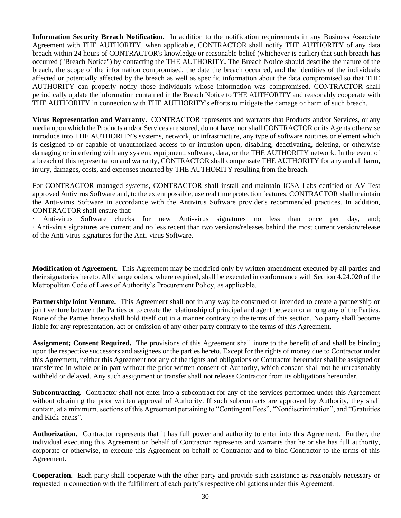**Information Security Breach Notification.** In addition to the notification requirements in any Business Associate Agreement with THE AUTHORITY, when applicable, CONTRACTOR shall notify THE AUTHORITY of any data breach within 24 hours of CONTRACTOR's knowledge or reasonable belief (whichever is earlier) that such breach has occurred ("Breach Notice") by contacting the THE AUTHORITY**.** The Breach Notice should describe the nature of the breach, the scope of the information compromised, the date the breach occurred, and the identities of the individuals affected or potentially affected by the breach as well as specific information about the data compromised so that THE AUTHORITY can properly notify those individuals whose information was compromised. CONTRACTOR shall periodically update the information contained in the Breach Notice to THE AUTHORITY and reasonably cooperate with THE AUTHORITY in connection with THE AUTHORITY's efforts to mitigate the damage or harm of such breach.

**Virus Representation and Warranty.** CONTRACTOR represents and warrants that Products and/or Services, or any media upon which the Products and/or Services are stored, do not have, nor shall CONTRACTOR or its Agents otherwise introduce into THE AUTHORITY's systems, network, or infrastructure, any type of software routines or element which is designed to or capable of unauthorized access to or intrusion upon, disabling, deactivating, deleting, or otherwise damaging or interfering with any system, equipment, software, data, or the THE AUTHORITY network. In the event of a breach of this representation and warranty, CONTRACTOR shall compensate THE AUTHORITY for any and all harm, injury, damages, costs, and expenses incurred by THE AUTHORITY resulting from the breach.

For CONTRACTOR managed systems, CONTRACTOR shall install and maintain ICSA Labs certified or AV-Test approved Antivirus Software and, to the extent possible, use real time protection features. CONTRACTOR shall maintain the Anti-virus Software in accordance with the Antivirus Software provider's recommended practices. In addition, CONTRACTOR shall ensure that:

Anti-virus Software checks for new Anti-virus signatures no less than once per day, and; · Anti-virus signatures are current and no less recent than two versions/releases behind the most current version/release of the Anti-virus signatures for the Anti-virus Software.

**Modification of Agreement.** This Agreement may be modified only by written amendment executed by all parties and their signatories hereto. All change orders, where required, shall be executed in conformance with Section 4.24.020 of the Metropolitan Code of Laws of Authority's Procurement Policy, as applicable.

**Partnership/Joint Venture.** This Agreement shall not in any way be construed or intended to create a partnership or joint venture between the Parties or to create the relationship of principal and agent between or among any of the Parties. None of the Parties hereto shall hold itself out in a manner contrary to the terms of this section. No party shall become liable for any representation, act or omission of any other party contrary to the terms of this Agreement.

**Assignment; Consent Required.** The provisions of this Agreement shall inure to the benefit of and shall be binding upon the respective successors and assignees or the parties hereto. Except for the rights of money due to Contractor under this Agreement, neither this Agreement nor any of the rights and obligations of Contractor hereunder shall be assigned or transferred in whole or in part without the prior written consent of Authority, which consent shall not be unreasonably withheld or delayed. Any such assignment or transfer shall not release Contractor from its obligations hereunder.

**Subcontracting.** Contractor shall not enter into a subcontract for any of the services performed under this Agreement without obtaining the prior written approval of Authority. If such subcontracts are approved by Authority, they shall contain, at a minimum, sections of this Agreement pertaining to "Contingent Fees", "Nondiscrimination", and "Gratuities and Kick-backs".

**Authorization.** Contractor represents that it has full power and authority to enter into this Agreement. Further, the individual executing this Agreement on behalf of Contractor represents and warrants that he or she has full authority, corporate or otherwise, to execute this Agreement on behalf of Contractor and to bind Contractor to the terms of this Agreement.

**Cooperation.** Each party shall cooperate with the other party and provide such assistance as reasonably necessary or requested in connection with the fulfillment of each party's respective obligations under this Agreement.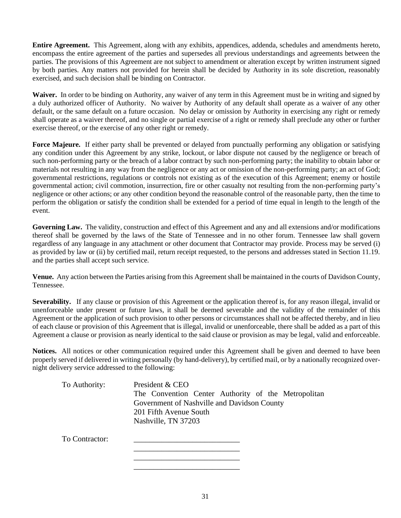**Entire Agreement.** This Agreement, along with any exhibits, appendices, addenda, schedules and amendments hereto, encompass the entire agreement of the parties and supersedes all previous understandings and agreements between the parties. The provisions of this Agreement are not subject to amendment or alteration except by written instrument signed by both parties. Any matters not provided for herein shall be decided by Authority in its sole discretion, reasonably exercised, and such decision shall be binding on Contractor.

**Waiver.** In order to be binding on Authority, any waiver of any term in this Agreement must be in writing and signed by a duly authorized officer of Authority. No waiver by Authority of any default shall operate as a waiver of any other default, or the same default on a future occasion. No delay or omission by Authority in exercising any right or remedy shall operate as a waiver thereof, and no single or partial exercise of a right or remedy shall preclude any other or further exercise thereof, or the exercise of any other right or remedy.

**Force Majeure.** If either party shall be prevented or delayed from punctually performing any obligation or satisfying any condition under this Agreement by any strike, lockout, or labor dispute not caused by the negligence or breach of such non-performing party or the breach of a labor contract by such non-performing party; the inability to obtain labor or materials not resulting in any way from the negligence or any act or omission of the non-performing party; an act of God; governmental restrictions, regulations or controls not existing as of the execution of this Agreement; enemy or hostile governmental action; civil commotion, insurrection, fire or other casualty not resulting from the non-performing party's negligence or other actions; or any other condition beyond the reasonable control of the reasonable party, then the time to perform the obligation or satisfy the condition shall be extended for a period of time equal in length to the length of the event.

**Governing Law.** The validity, construction and effect of this Agreement and any and all extensions and/or modifications thereof shall be governed by the laws of the State of Tennessee and in no other forum. Tennessee law shall govern regardless of any language in any attachment or other document that Contractor may provide. Process may be served (i) as provided by law or (ii) by certified mail, return receipt requested, to the persons and addresses stated in Section 11.19. and the parties shall accept such service.

**Venue.** Any action between the Parties arising from this Agreement shall be maintained in the courts of Davidson County, Tennessee.

**Severability.** If any clause or provision of this Agreement or the application thereof is, for any reason illegal, invalid or unenforceable under present or future laws, it shall be deemed severable and the validity of the remainder of this Agreement or the application of such provision to other persons or circumstances shall not be affected thereby, and in lieu of each clause or provision of this Agreement that is illegal, invalid or unenforceable, there shall be added as a part of this Agreement a clause or provision as nearly identical to the said clause or provision as may be legal, valid and enforceable.

**Notices.** All notices or other communication required under this Agreement shall be given and deemed to have been properly served if delivered in writing personally (by hand-delivery), by certified mail, or by a nationally recognized overnight delivery service addressed to the following:

| To Authority:  | President & CEO                                     |
|----------------|-----------------------------------------------------|
|                | The Convention Center Authority of the Metropolitan |
|                | Government of Nashville and Davidson County         |
|                | 201 Fifth Avenue South                              |
|                | Nashville, TN 37203                                 |
| To Contractor: |                                                     |
|                |                                                     |

\_\_\_\_\_\_\_\_\_\_\_\_\_\_\_\_\_\_\_\_\_\_\_\_\_\_\_ \_\_\_\_\_\_\_\_\_\_\_\_\_\_\_\_\_\_\_\_\_\_\_\_\_\_\_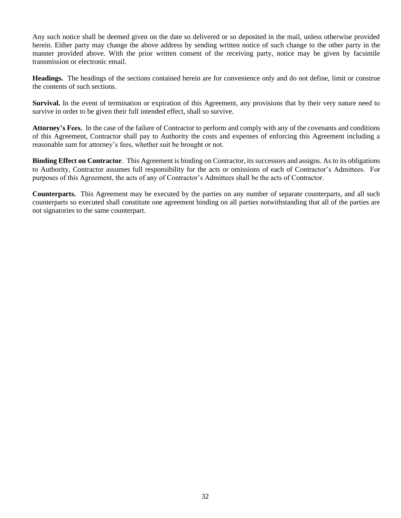Any such notice shall be deemed given on the date so delivered or so deposited in the mail, unless otherwise provided herein. Either party may change the above address by sending written notice of such change to the other party in the manner provided above. With the prior written consent of the receiving party, notice may be given by facsimile transmission or electronic email.

**Headings.** The headings of the sections contained herein are for convenience only and do not define, limit or construe the contents of such sections.

**Survival.** In the event of termination or expiration of this Agreement, any provisions that by their very nature need to survive in order to be given their full intended effect, shall so survive.

**Attorney's Fees.** In the case of the failure of Contractor to perform and comply with any of the covenants and conditions of this Agreement, Contractor shall pay to Authority the costs and expenses of enforcing this Agreement including a reasonable sum for attorney's fees, whether suit be brought or not.

**Binding Effect on Contractor**. This Agreement is binding on Contractor, its successors and assigns. As to its obligations to Authority, Contractor assumes full responsibility for the acts or omissions of each of Contractor's Admittees. For purposes of this Agreement, the acts of any of Contractor's Admittees shall be the acts of Contractor.

**Counterparts.** This Agreement may be executed by the parties on any number of separate counterparts, and all such counterparts so executed shall constitute one agreement binding on all parties notwithstanding that all of the parties are not signatories to the same counterpart.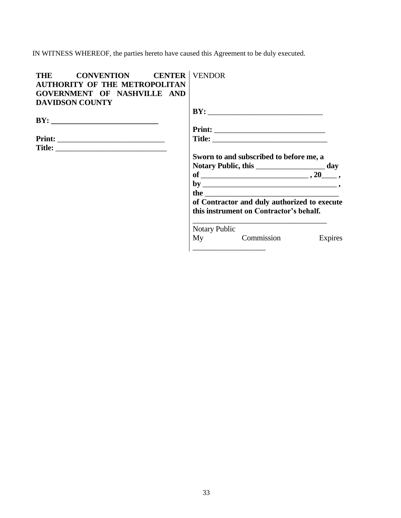IN WITNESS WHEREOF, the parties hereto have caused this Agreement to be duly executed.

| THE CONVENTION CENTER   VENDOR       |                                                 |
|--------------------------------------|-------------------------------------------------|
| <b>AUTHORITY OF THE METROPOLITAN</b> |                                                 |
| GOVERNMENT OF NASHVILLE AND          |                                                 |
| <b>DAVIDSON COUNTY</b>               |                                                 |
|                                      |                                                 |
|                                      |                                                 |
|                                      |                                                 |
|                                      |                                                 |
|                                      |                                                 |
|                                      | Sworn to and subscribed to before me, a         |
|                                      | Notary Public, this _______________________ day |
|                                      |                                                 |
|                                      |                                                 |
|                                      | the $\overline{\phantom{a}}$                    |
|                                      | of Contractor and duly authorized to execute    |
|                                      | this instrument on Contractor's behalf.         |
|                                      | Notary Public                                   |
|                                      | My Commission Expires                           |
|                                      | <u> 1980 - Jan Barbara Barbara, manazarta </u>  |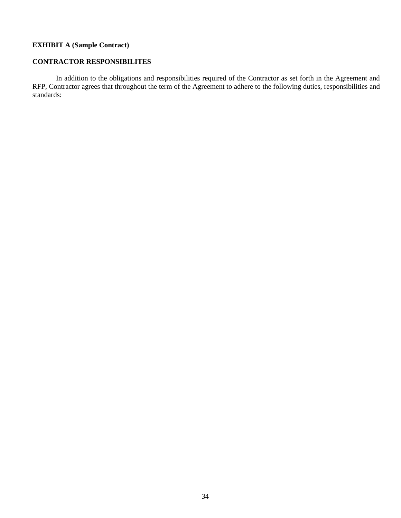# **EXHIBIT A (Sample Contract)**

### **CONTRACTOR RESPONSIBILITES**

In addition to the obligations and responsibilities required of the Contractor as set forth in the Agreement and RFP, Contractor agrees that throughout the term of the Agreement to adhere to the following duties, responsibilities and standards: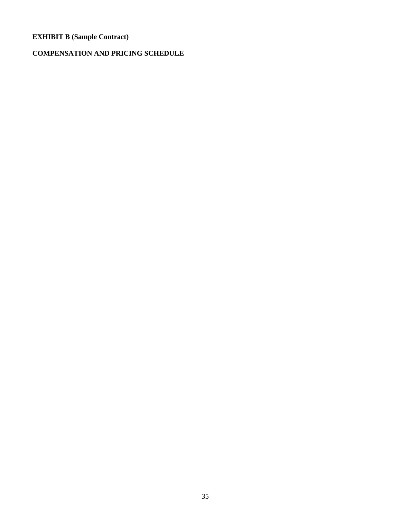# **EXHIBIT B (Sample Contract)**

# **COMPENSATION AND PRICING SCHEDULE**